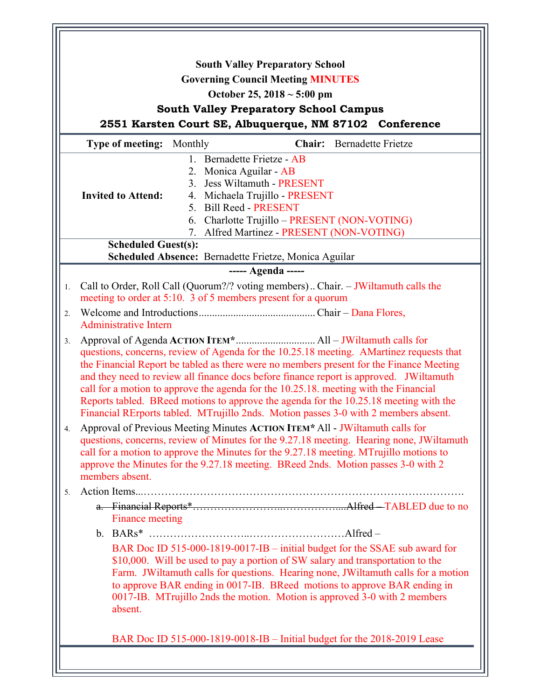| <b>South Valley Preparatory School</b>                                                                                                                                                                                                                                                                                                                                                                                                                                                                                                                     |  |
|------------------------------------------------------------------------------------------------------------------------------------------------------------------------------------------------------------------------------------------------------------------------------------------------------------------------------------------------------------------------------------------------------------------------------------------------------------------------------------------------------------------------------------------------------------|--|
| <b>Governing Council Meeting MINUTES</b>                                                                                                                                                                                                                                                                                                                                                                                                                                                                                                                   |  |
| October 25, 2018 $\sim$ 5:00 pm                                                                                                                                                                                                                                                                                                                                                                                                                                                                                                                            |  |
| <b>South Valley Preparatory School Campus</b>                                                                                                                                                                                                                                                                                                                                                                                                                                                                                                              |  |
| 2551 Karsten Court SE, Albuquerque, NM 87102 Conference                                                                                                                                                                                                                                                                                                                                                                                                                                                                                                    |  |
| <b>Type of meeting:</b> Monthly<br><b>Chair:</b> Bernadette Frietze                                                                                                                                                                                                                                                                                                                                                                                                                                                                                        |  |
| 1. Bernadette Frietze - AB                                                                                                                                                                                                                                                                                                                                                                                                                                                                                                                                 |  |
| 2. Monica Aguilar - AB                                                                                                                                                                                                                                                                                                                                                                                                                                                                                                                                     |  |
| 3. Jess Wiltamuth - PRESENT                                                                                                                                                                                                                                                                                                                                                                                                                                                                                                                                |  |
| <b>Invited to Attend:</b><br>4. Michaela Trujillo - PRESENT                                                                                                                                                                                                                                                                                                                                                                                                                                                                                                |  |
| 5. Bill Reed - PRESENT                                                                                                                                                                                                                                                                                                                                                                                                                                                                                                                                     |  |
| 6. Charlotte Trujillo - PRESENT (NON-VOTING)                                                                                                                                                                                                                                                                                                                                                                                                                                                                                                               |  |
| 7. Alfred Martinez - PRESENT (NON-VOTING)                                                                                                                                                                                                                                                                                                                                                                                                                                                                                                                  |  |
| <b>Scheduled Guest(s):</b><br>Scheduled Absence: Bernadette Frietze, Monica Aguilar                                                                                                                                                                                                                                                                                                                                                                                                                                                                        |  |
| ----- Agenda -----                                                                                                                                                                                                                                                                                                                                                                                                                                                                                                                                         |  |
|                                                                                                                                                                                                                                                                                                                                                                                                                                                                                                                                                            |  |
| Call to Order, Roll Call (Quorum?/? voting members) Chair. - JWiltamuth calls the<br>1.<br>meeting to order at 5:10. 3 of 5 members present for a quorum                                                                                                                                                                                                                                                                                                                                                                                                   |  |
| 2.<br><b>Administrative Intern</b>                                                                                                                                                                                                                                                                                                                                                                                                                                                                                                                         |  |
| 3.<br>questions, concerns, review of Agenda for the 10.25.18 meeting. AMartinez requests that<br>the Financial Report be tabled as there were no members present for the Finance Meeting<br>and they need to review all finance docs before finance report is approved. JWiltamuth<br>call for a motion to approve the agenda for the 10.25.18, meeting with the Financial<br>Reports tabled. BReed motions to approve the agenda for the 10.25.18 meeting with the<br>Financial RErports tabled. MTrujillo 2nds. Motion passes 3-0 with 2 members absent. |  |
| Approval of Previous Meeting Minutes ACTION ITEM* All - JWiltamuth calls for<br>4.<br>questions, concerns, review of Minutes for the 9.27.18 meeting. Hearing none, JWiltamuth<br>call for a motion to approve the Minutes for the 9.27.18 meeting. MTrujillo motions to<br>approve the Minutes for the 9.27.18 meeting. BReed 2nds. Motion passes 3-0 with 2<br>members absent.                                                                                                                                                                           |  |
| 5.                                                                                                                                                                                                                                                                                                                                                                                                                                                                                                                                                         |  |
|                                                                                                                                                                                                                                                                                                                                                                                                                                                                                                                                                            |  |
| Finance meeting                                                                                                                                                                                                                                                                                                                                                                                                                                                                                                                                            |  |
|                                                                                                                                                                                                                                                                                                                                                                                                                                                                                                                                                            |  |
| BAR Doc ID 515-000-1819-0017-IB – initial budget for the SSAE sub award for<br>\$10,000. Will be used to pay a portion of SW salary and transportation to the<br>Farm. JWiltamuth calls for questions. Hearing none, JWiltamuth calls for a motion<br>to approve BAR ending in 0017-IB. BReed motions to approve BAR ending in<br>0017-IB. MTrujillo 2nds the motion. Motion is approved 3-0 with 2 members<br>absent.                                                                                                                                     |  |
| BAR Doc ID 515-000-1819-0018-IB - Initial budget for the 2018-2019 Lease                                                                                                                                                                                                                                                                                                                                                                                                                                                                                   |  |
|                                                                                                                                                                                                                                                                                                                                                                                                                                                                                                                                                            |  |